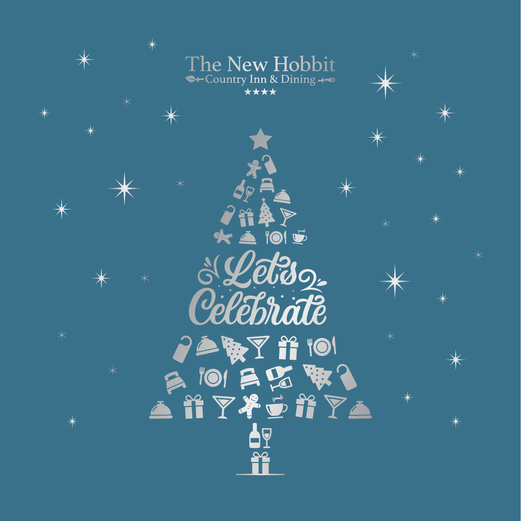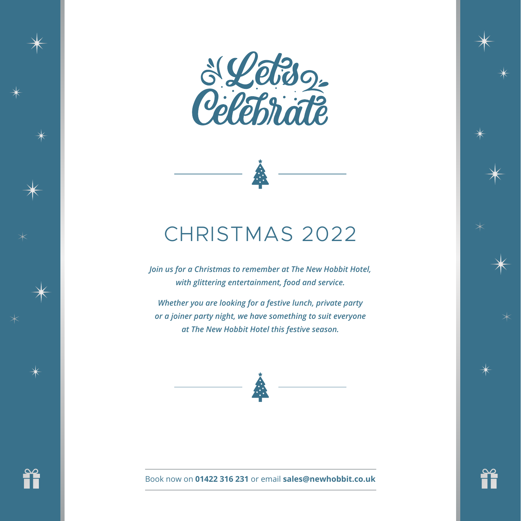



## CHRISTMAS 2022

*Join us for a Christmas to remember at The New Hobbit Hotel, with glittering entertainment, food and service.*

*Whether you are looking for a festive lunch, private party or a joiner party night, we have something to suit everyone at The New Hobbit Hotel this festive season.*



Book now on **01422 316 231** or email **sales@newhobbit.co.uk**

 $\frac{1}{2}$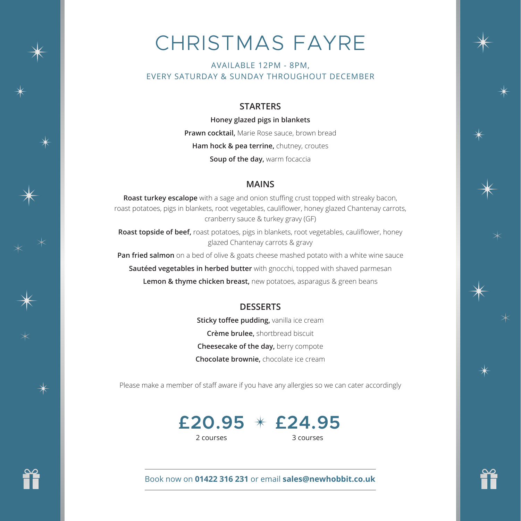## CHRISTMAS FAYRE

### AVAILABLE 12PM - 8PM, EVERY SATURDAY & SUNDAY THROUGHOUT DECEMBER

#### **STARTERS**

**Honey glazed pigs in blankets Prawn cocktail,** Marie Rose sauce, brown bread **Ham hock & pea terrine, chutney, croutes Soup of the day,** warm focaccia

### **MAINS**

**Roast turkey escalope** with a sage and onion stuffing crust topped with streaky bacon, roast potatoes, pigs in blankets, root vegetables, cauliflower, honey glazed Chantenay carrots, cranberry sauce & turkey gravy (GF) **Roast topside of beef,** roast potatoes, pigs in blankets, root vegetables, cauliflower, honey glazed Chantenay carrots & gravy **Pan fried salmon** on a bed of olive & goats cheese mashed potato with a white wine sauce **Sautéed vegetables in herbed butter** with gnocchi, topped with shaved parmesan **Lemon & thyme chicken breast,** new potatoes, asparagus & green beans

## **DESSERTS**

**Sticky toffee pudding, vanilla ice cream Crème brulee,** shortbread biscuit **Cheesecake of the day,** berry compote **Chocolate brownie,** chocolate ice cream

Please make a member of staff aware if you have any allergies so we can cater accordingly

#### **£20.95 £24.95** 2 courses 3 courses

Book now on **01422 316 231** or email **sales@newhobbit.co.uk**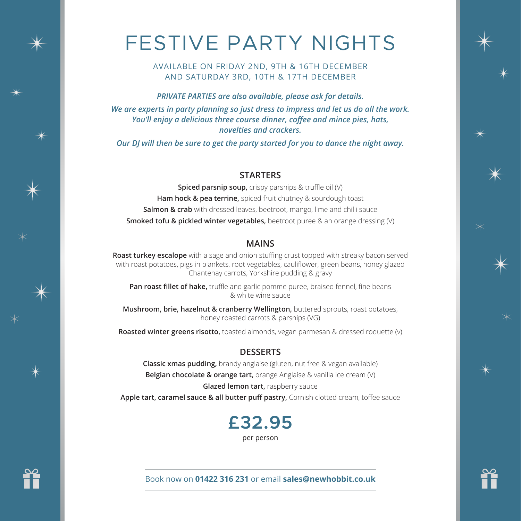# FESTIVE PARTY NIGHTS

#### AVAILABLE ON FRIDAY 2ND, 9TH & 16TH DECEMBER AND SATURDAY 3RD, 10TH & 17TH DECEMBER

*PRIVATE PARTIES are also available, please ask for details. We are experts in party planning so just dress to impress and let us do all the work. You'll enjoy a delicious three course dinner, coffee and mince pies, hats, novelties and crackers.* 

*Our DJ will then be sure to get the party started for you to dance the night away.*

### **STARTERS**

**Spiced parsnip soup,** crispy parsnips & truffle oil (V) **Ham hock & pea terrine,** spiced fruit chutney & sourdough toast Salmon & crab with dressed leaves, beetroot, mango, lime and chilli sauce **Smoked tofu & pickled winter vegetables,** beetroot puree & an orange dressing (V)

## **MAINS**

**Roast turkey escalope** with a sage and onion stuffing crust topped with streaky bacon served with roast potatoes, pigs in blankets, root vegetables, cauliflower, green beans, honey glazed Chantenay carrots, Yorkshire pudding & gravy

Pan roast fillet of hake, truffle and garlic pomme puree, braised fennel, fine beans & white wine sauce

**Mushroom, brie, hazelnut & cranberry Wellington,** buttered sprouts, roast potatoes, honey roasted carrots & parsnips (VG)

**Roasted winter greens risotto,** toasted almonds, vegan parmesan & dressed roquette (v)

## **DESSERTS**

**Classic xmas pudding,** brandy anglaise (gluten, nut free & vegan available) **Belgian chocolate & orange tart,** orange Anglaise & vanilla ice cream (V) **Glazed lemon tart, raspberry sauce** Apple tart, caramel sauce & all butter puff pastry, Cornish clotted cream, toffee sauce

## **£32.95**

per person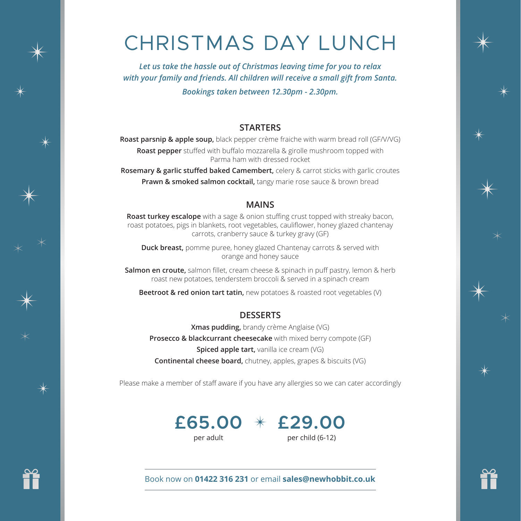# CHRISTMAS DAY LUNCH

*Let us take the hassle out of Christmas leaving time for you to relax with your family and friends. All children will receive a small gift from Santa. Bookings taken between 12.30pm - 2.30pm.*

### **STARTERS**

**Roast parsnip & apple soup,** black pepper crème fraiche with warm bread roll (GF/V/VG) **Roast pepper** stuffed with buffalo mozzarella & girolle mushroom topped with Parma ham with dressed rocket

**Rosemary & garlic stuffed baked Camembert,** celery & carrot sticks with garlic croutes **Prawn & smoked salmon cocktail,** tangy marie rose sauce & brown bread

## **MAINS**

**Roast turkey escalope** with a sage & onion stuffing crust topped with streaky bacon, roast potatoes, pigs in blankets, root vegetables, cauliflower, honey glazed chantenay carrots, cranberry sauce & turkey gravy (GF)

**Duck breast,** pomme puree, honey glazed Chantenay carrots & served with orange and honey sauce

**Salmon en croute,** salmon fillet, cream cheese & spinach in puff pastry, lemon & herb roast new potatoes, tenderstem broccoli & served in a spinach cream

**Beetroot & red onion tart tatin,** new potatoes & roasted root vegetables (V)

## **DESSERTS**

**Xmas pudding,** brandy crème Anglaise (VG) **Prosecco & blackcurrant cheesecake** with mixed berry compote (GF) **Spiced apple tart,** vanilla ice cream (VG) **Continental cheese board,** chutney, apples, grapes & biscuits (VG)

Please make a member of staff aware if you have any allergies so we can cater accordingly

#### **£65.00 £29.00** per adult per child (6-12)

Book now on **01422 316 231** or email **sales@newhobbit.co.uk**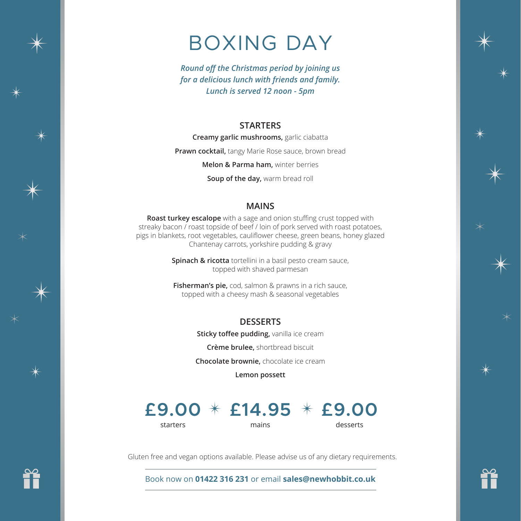## BOXING DAY

*Round off the Christmas period by joining us for a delicious lunch with friends and family. Lunch is served 12 noon - 5pm*

### **STARTERS**

**Creamy garlic mushrooms,** garlic ciabatta **Prawn cocktail,** tangy Marie Rose sauce, brown bread **Melon & Parma ham,** winter berries **Soup of the day,** warm bread roll

## **MAINS**

**Roast turkey escalope** with a sage and onion stuffing crust topped with streaky bacon / roast topside of beef / loin of pork served with roast potatoes, pigs in blankets, root vegetables, cauliflower cheese, green beans, honey glazed Chantenay carrots, yorkshire pudding & gravy

> **Spinach & ricotta** tortellini in a basil pesto cream sauce, topped with shaved parmesan

**Fisherman's pie,** cod, salmon & prawns in a rich sauce, topped with a cheesy mash & seasonal vegetables

## **DESSERTS**

**Sticky toffee pudding,** vanilla ice cream

**Crème brulee,** shortbread biscuit

**Chocolate brownie,** chocolate ice cream

**Lemon possett** 

#### **£14.95 £9.00 £9.00** mains starters desserts

Gluten free and vegan options available. Please advise us of any dietary requirements.

Book now on **01422 316 231** or email **sales@newhobbit.co.uk**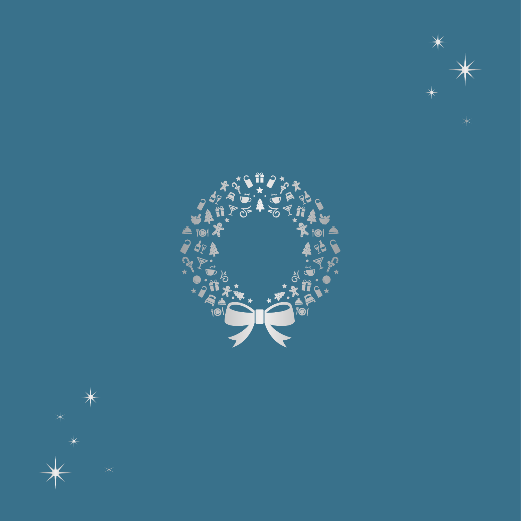

 $\overline{\ast}$